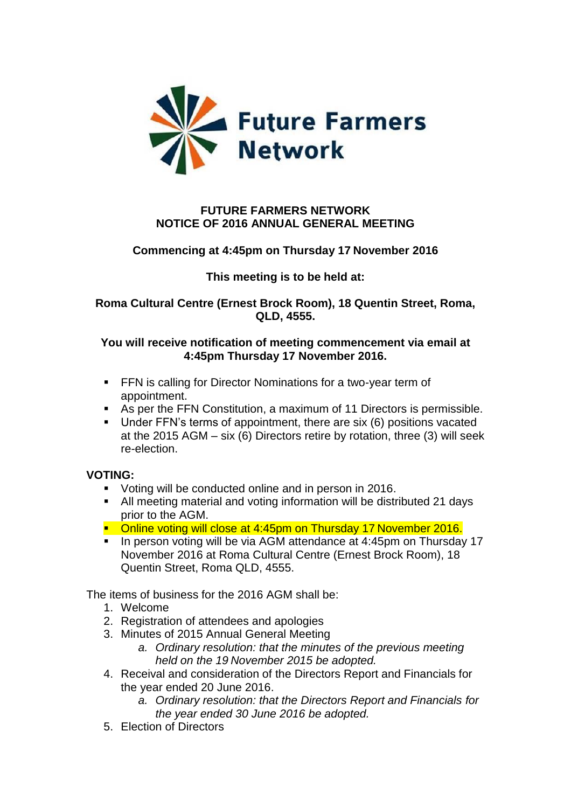

## **FUTURE FARMERS NETWORK NOTICE OF 2016 ANNUAL GENERAL MEETING**

# **Commencing at 4:45pm on Thursday 17 November 2016**

## **This meeting is to be held at:**

### **Roma Cultural Centre (Ernest Brock Room), 18 Quentin Street, Roma, QLD, 4555.**

### **You will receive notification of meeting commencement via email at 4:45pm Thursday 17 November 2016.**

- **FFN** is calling for Director Nominations for a two-year term of appointment.
- As per the FFN Constitution, a maximum of 11 Directors is permissible.
- Under FFN's terms of appointment, there are six (6) positions vacated at the 2015 AGM – six (6) Directors retire by rotation, three (3) will seek re-election.

#### **VOTING:**

- **Voting will be conducted online and in person in 2016.**
- All meeting material and voting information will be distributed 21 days prior to the AGM.
- prior to the AGM.<br>■ Online voting will close at 4:45pm on Thursday 17 November 2016.
- In person voting will be via AGM attendance at 4:45pm on Thursday 17 November 2016 at Roma Cultural Centre (Ernest Brock Room), 18 Quentin Street, Roma QLD, 4555.

The items of business for the 2016 AGM shall be:

- 1. Welcome
- 2. Registration of attendees and apologies
- 3. Minutes of 2015 Annual General Meeting
	- *a. Ordinary resolution: that the minutes of the previous meeting held on the 19 November 2015 be adopted.*
- 4. Receival and consideration of the Directors Report and Financials for the year ended 20 June 2016.
	- *a. Ordinary resolution: that the Directors Report and Financials for the year ended 30 June 2016 be adopted.*
- 5. Election of Directors